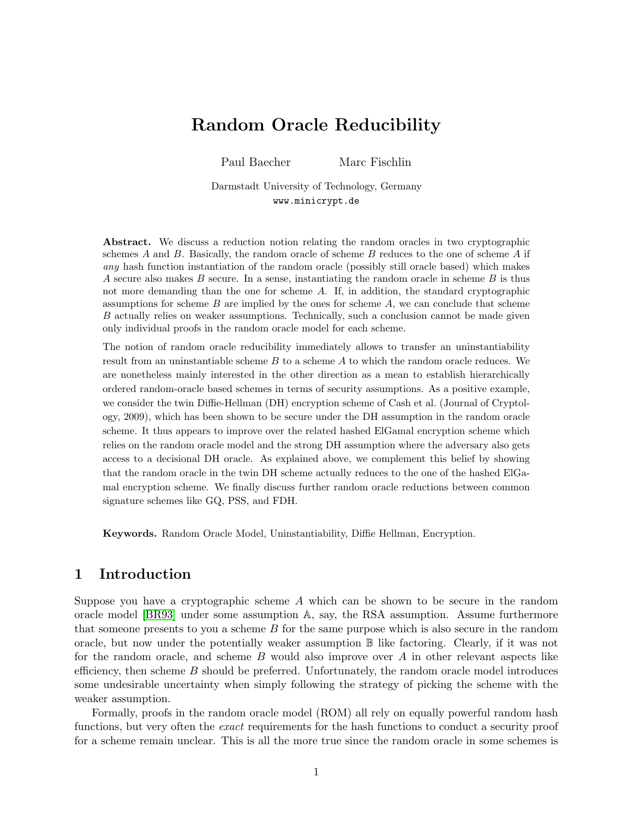# <span id="page-0-0"></span>Random Oracle Reducibility

Paul Baecher Marc Fischlin

Darmstadt University of Technology, Germany www.minicrypt.de

Abstract. We discuss a reduction notion relating the random oracles in two cryptographic schemes  $A$  and  $B$ . Basically, the random oracle of scheme  $B$  reduces to the one of scheme  $A$  if any hash function instantiation of the random oracle (possibly still oracle based) which makes A secure also makes  $B$  secure. In a sense, instantiating the random oracle in scheme  $B$  is thus not more demanding than the one for scheme A. If, in addition, the standard cryptographic assumptions for scheme  $B$  are implied by the ones for scheme  $A$ , we can conclude that scheme B actually relies on weaker assumptions. Technically, such a conclusion cannot be made given only individual proofs in the random oracle model for each scheme.

The notion of random oracle reducibility immediately allows to transfer an uninstantiability result from an uninstantiable scheme  $B$  to a scheme  $A$  to which the random oracle reduces. We are nonetheless mainly interested in the other direction as a mean to establish hierarchically ordered random-oracle based schemes in terms of security assumptions. As a positive example, we consider the twin Diffie-Hellman (DH) encryption scheme of Cash et al. (Journal of Cryptology, 2009), which has been shown to be secure under the DH assumption in the random oracle scheme. It thus appears to improve over the related hashed ElGamal encryption scheme which relies on the random oracle model and the strong DH assumption where the adversary also gets access to a decisional DH oracle. As explained above, we complement this belief by showing that the random oracle in the twin DH scheme actually reduces to the one of the hashed ElGamal encryption scheme. We finally discuss further random oracle reductions between common signature schemes like GQ, PSS, and FDH.

Keywords. Random Oracle Model, Uninstantiability, Diffie Hellman, Encryption.

### 1 Introduction

Suppose you have a cryptographic scheme A which can be shown to be secure in the random oracle model [\[BR93\]](#page-15-0) under some assumption A, say, the RSA assumption. Assume furthermore that someone presents to you a scheme B for the same purpose which is also secure in the random oracle, but now under the potentially weaker assumption B like factoring. Clearly, if it was not for the random oracle, and scheme  $B$  would also improve over  $A$  in other relevant aspects like efficiency, then scheme  $B$  should be preferred. Unfortunately, the random oracle model introduces some undesirable uncertainty when simply following the strategy of picking the scheme with the weaker assumption.

Formally, proofs in the random oracle model (ROM) all rely on equally powerful random hash functions, but very often the *exact* requirements for the hash functions to conduct a security proof for a scheme remain unclear. This is all the more true since the random oracle in some schemes is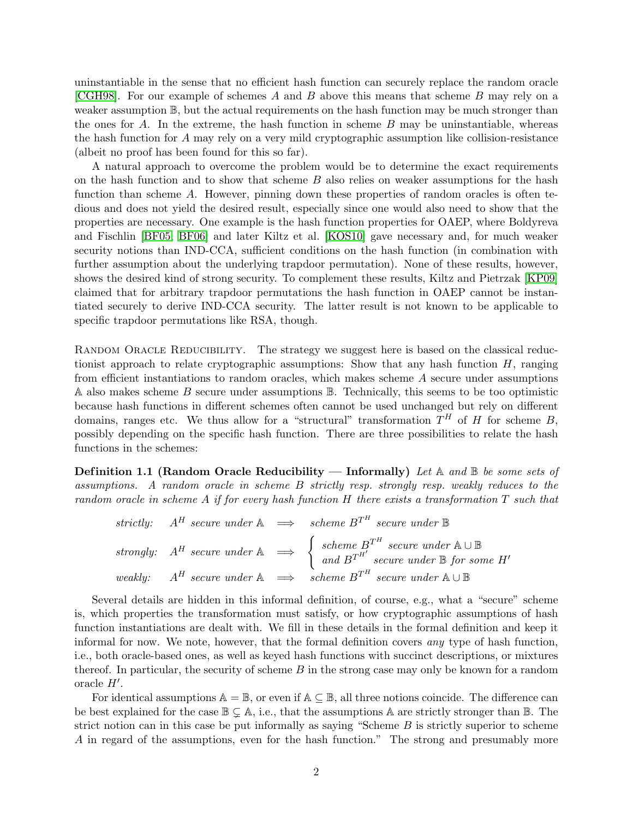<span id="page-1-1"></span>uninstantiable in the sense that no efficient hash function can securely replace the random oracle [\[CGH98\]](#page-16-0). For our example of schemes A and B above this means that scheme B may rely on a weaker assumption B, but the actual requirements on the hash function may be much stronger than the ones for  $A$ . In the extreme, the hash function in scheme  $B$  may be uninstantiable, whereas the hash function for A may rely on a very mild cryptographic assumption like collision-resistance (albeit no proof has been found for this so far).

A natural approach to overcome the problem would be to determine the exact requirements on the hash function and to show that scheme  $B$  also relies on weaker assumptions for the hash function than scheme A. However, pinning down these properties of random oracles is often tedious and does not yield the desired result, especially since one would also need to show that the properties are necessary. One example is the hash function properties for OAEP, where Boldyreva and Fischlin [\[BF05,](#page-15-1) [BF06\]](#page-15-2) and later Kiltz et al. [\[KOS10\]](#page-16-1) gave necessary and, for much weaker security notions than IND-CCA, sufficient conditions on the hash function (in combination with further assumption about the underlying trapdoor permutation). None of these results, however, shows the desired kind of strong security. To complement these results, Kiltz and Pietrzak [\[KP09\]](#page-17-0) claimed that for arbitrary trapdoor permutations the hash function in OAEP cannot be instantiated securely to derive IND-CCA security. The latter result is not known to be applicable to specific trapdoor permutations like RSA, though.

RANDOM ORACLE REDUCIBILITY. The strategy we suggest here is based on the classical reductionist approach to relate cryptographic assumptions: Show that any hash function  $H$ , ranging from efficient instantiations to random oracles, which makes scheme A secure under assumptions A also makes scheme B secure under assumptions  $\mathbb B$ . Technically, this seems to be too optimistic because hash functions in different schemes often cannot be used unchanged but rely on different domains, ranges etc. We thus allow for a "structural" transformation  $T^H$  of H for scheme B, possibly depending on the specific hash function. There are three possibilities to relate the hash functions in the schemes:

**Definition 1.1 (Random Oracle Reducibility — Informally)** Let  $\mathbb{A}$  and  $\mathbb{B}$  be some sets of assumptions. A random oracle in scheme B strictly resp. strongly resp. weakly reduces to the random oracle in scheme A if for every hash function  $H$  there exists a transformation  $T$  such that

<span id="page-1-0"></span>

|  | strictly: $A^H$ secure under $A \implies$ scheme $B^{T^H}$ secure under $\mathbb B$                                                                                                                                                                                                                                              |
|--|----------------------------------------------------------------------------------------------------------------------------------------------------------------------------------------------------------------------------------------------------------------------------------------------------------------------------------|
|  | $\begin{array}{lcl} \textit{strongly:} & A^H \textit{ secure under } \mathbb{A} & \Longrightarrow & \left\{ \begin{array}{lcl} \textit{scheme } B^{T^H} \textit{ secure under } \mathbb{A} \cup \mathbb{B} \\ \textit{and } B^{T^{H'}} \textit{secure under } \mathbb{B} \textit{ for some } H' \end{array} \right. \end{array}$ |
|  | weakly: $A^H$ secure under $A \implies$ scheme $B^{T^H}$ secure under $A \cup B$                                                                                                                                                                                                                                                 |

Several details are hidden in this informal definition, of course, e.g., what a "secure" scheme is, which properties the transformation must satisfy, or how cryptographic assumptions of hash function instantiations are dealt with. We fill in these details in the formal definition and keep it informal for now. We note, however, that the formal definition covers any type of hash function, i.e., both oracle-based ones, as well as keyed hash functions with succinct descriptions, or mixtures thereof. In particular, the security of scheme  $B$  in the strong case may only be known for a random oracle  $H'$ .

For identical assumptions  $A = \mathbb{B}$ , or even if  $A \subseteq \mathbb{B}$ , all three notions coincide. The difference can be best explained for the case  $\mathbb{B} \subset \mathbb{A}$ , i.e., that the assumptions A are strictly stronger than  $\mathbb{B}$ . The strict notion can in this case be put informally as saying "Scheme B is strictly superior to scheme A in regard of the assumptions, even for the hash function." The strong and presumably more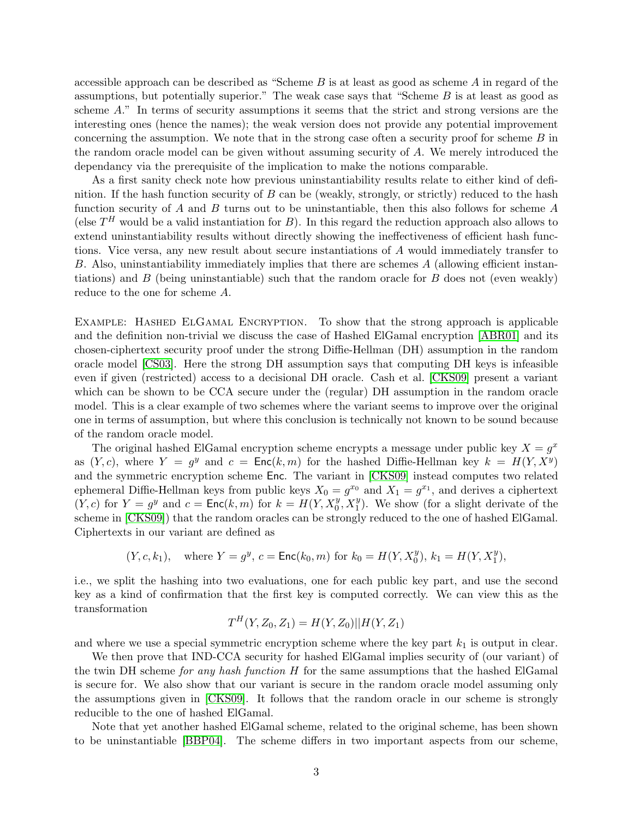<span id="page-2-0"></span>accessible approach can be described as "Scheme B is at least as good as scheme A in regard of the assumptions, but potentially superior." The weak case says that "Scheme B is at least as good as scheme A." In terms of security assumptions it seems that the strict and strong versions are the interesting ones (hence the names); the weak version does not provide any potential improvement concerning the assumption. We note that in the strong case often a security proof for scheme  $B$  in the random oracle model can be given without assuming security of A. We merely introduced the dependancy via the prerequisite of the implication to make the notions comparable.

As a first sanity check note how previous uninstantiability results relate to either kind of definition. If the hash function security of  $B$  can be (weakly, strongly, or strictly) reduced to the hash function security of A and B turns out to be uninstantiable, then this also follows for scheme  $A$ (else  $T^H$  would be a valid instantiation for B). In this regard the reduction approach also allows to extend uninstantiability results without directly showing the ineffectiveness of efficient hash functions. Vice versa, any new result about secure instantiations of A would immediately transfer to B. Also, uninstantiability immediately implies that there are schemes A (allowing efficient instantiations) and  $B$  (being uninstantiable) such that the random oracle for  $B$  does not (even weakly) reduce to the one for scheme A.

EXAMPLE: HASHED ELGAMAL ENCRYPTION. To show that the strong approach is applicable and the definition non-trivial we discuss the case of Hashed ElGamal encryption [\[ABR01\]](#page-15-3) and its chosen-ciphertext security proof under the strong Diffie-Hellman (DH) assumption in the random oracle model [\[CS03\]](#page-16-2). Here the strong DH assumption says that computing DH keys is infeasible even if given (restricted) access to a decisional DH oracle. Cash et al. [\[CKS09\]](#page-16-3) present a variant which can be shown to be CCA secure under the (regular) DH assumption in the random oracle model. This is a clear example of two schemes where the variant seems to improve over the original one in terms of assumption, but where this conclusion is technically not known to be sound because of the random oracle model.

The original hashed ElGamal encryption scheme encrypts a message under public key  $X = g^x$ as  $(Y, c)$ , where  $Y = g^y$  and  $c = \text{Enc}(k, m)$  for the hashed Diffie-Hellman key  $k = H(Y, X^y)$ and the symmetric encryption scheme Enc. The variant in [\[CKS09\]](#page-16-3) instead computes two related ephemeral Diffie-Hellman keys from public keys  $X_0 = g^{x_0}$  and  $X_1 = g^{x_1}$ , and derives a ciphertext  $(Y, c)$  for  $Y = g^y$  and  $c = \text{Enc}(k, m)$  for  $k = H(Y, X_0^y, X_1^y)$ . We show (for a slight derivate of the scheme in [\[CKS09\]](#page-16-3)) that the random oracles can be strongly reduced to the one of hashed ElGamal. Ciphertexts in our variant are defined as

$$
(Y, c, k_1)
$$
, where  $Y = g^y$ ,  $c = \text{Enc}(k_0, m)$  for  $k_0 = H(Y, X_0^y)$ ,  $k_1 = H(Y, X_1^y)$ ,

i.e., we split the hashing into two evaluations, one for each public key part, and use the second key as a kind of confirmation that the first key is computed correctly. We can view this as the transformation

$$
T^H(Y, Z_0, Z_1) = H(Y, Z_0)||H(Y, Z_1)
$$

and where we use a special symmetric encryption scheme where the key part  $k_1$  is output in clear.

We then prove that IND-CCA security for hashed ElGamal implies security of (our variant) of the twin DH scheme for any hash function  $H$  for the same assumptions that the hashed ElGamal is secure for. We also show that our variant is secure in the random oracle model assuming only the assumptions given in [\[CKS09\]](#page-16-3). It follows that the random oracle in our scheme is strongly reducible to the one of hashed ElGamal.

Note that yet another hashed ElGamal scheme, related to the original scheme, has been shown to be uninstantiable [\[BBP04\]](#page-15-4). The scheme differs in two important aspects from our scheme,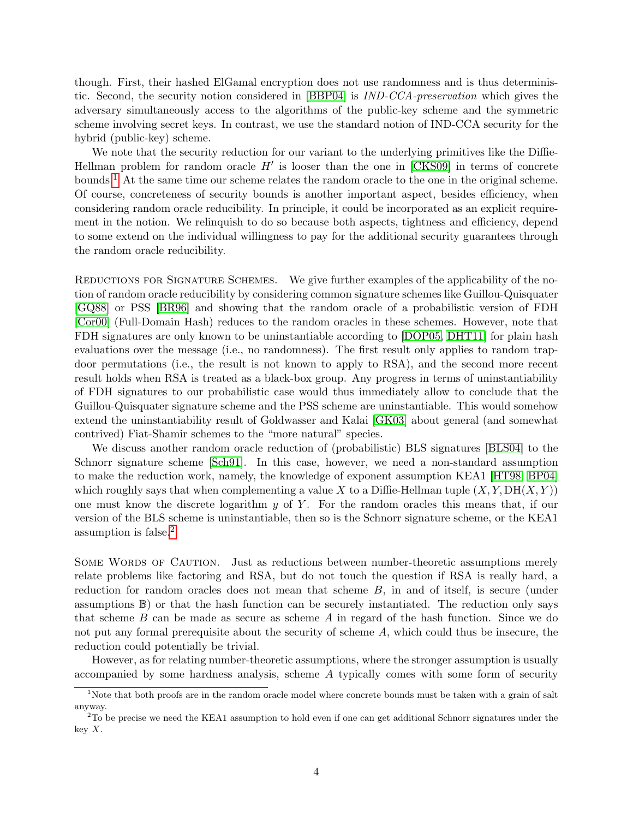<span id="page-3-2"></span>though. First, their hashed ElGamal encryption does not use randomness and is thus deterministic. Second, the security notion considered in [\[BBP04\]](#page-15-4) is IND-CCA-preservation which gives the adversary simultaneously access to the algorithms of the public-key scheme and the symmetric scheme involving secret keys. In contrast, we use the standard notion of IND-CCA security for the hybrid (public-key) scheme.

We note that the security reduction for our variant to the underlying primitives like the Diffie-Hellman problem for random oracle  $H'$  is looser than the one in [\[CKS09\]](#page-16-3) in terms of concrete bounds.[1](#page-3-0) At the same time our scheme relates the random oracle to the one in the original scheme. Of course, concreteness of security bounds is another important aspect, besides efficiency, when considering random oracle reducibility. In principle, it could be incorporated as an explicit requirement in the notion. We relinquish to do so because both aspects, tightness and efficiency, depend to some extend on the individual willingness to pay for the additional security guarantees through the random oracle reducibility.

REDUCTIONS FOR SIGNATURE SCHEMES. We give further examples of the applicability of the notion of random oracle reducibility by considering common signature schemes like Guillou-Quisquater [\[GQ88\]](#page-16-4) or PSS [\[BR96\]](#page-15-5) and showing that the random oracle of a probabilistic version of FDH [\[Cor00\]](#page-16-5) (Full-Domain Hash) reduces to the random oracles in these schemes. However, note that FDH signatures are only known to be uninstantiable according to [\[DOP05,](#page-16-6) [DHT11\]](#page-16-7) for plain hash evaluations over the message (i.e., no randomness). The first result only applies to random trapdoor permutations (i.e., the result is not known to apply to RSA), and the second more recent result holds when RSA is treated as a black-box group. Any progress in terms of uninstantiability of FDH signatures to our probabilistic case would thus immediately allow to conclude that the Guillou-Quisquater signature scheme and the PSS scheme are uninstantiable. This would somehow extend the uninstantiability result of Goldwasser and Kalai [\[GK03\]](#page-16-8) about general (and somewhat contrived) Fiat-Shamir schemes to the "more natural" species.

We discuss another random oracle reduction of (probabilistic) BLS signatures [\[BLS04\]](#page-15-6) to the Schnorr signature scheme [\[Sch91\]](#page-17-1). In this case, however, we need a non-standard assumption to make the reduction work, namely, the knowledge of exponent assumption KEA1 [\[HT98,](#page-16-9) [BP04\]](#page-15-7) which roughly says that when complementing a value X to a Diffie-Hellman tuple  $(X, Y, DH(X, Y))$ one must know the discrete logarithm  $y$  of  $Y$ . For the random oracles this means that, if our version of the BLS scheme is uninstantiable, then so is the Schnorr signature scheme, or the KEA1 assumption is false.[2](#page-3-1)

Some Words of Caution. Just as reductions between number-theoretic assumptions merely relate problems like factoring and RSA, but do not touch the question if RSA is really hard, a reduction for random oracles does not mean that scheme B, in and of itself, is secure (under assumptions B) or that the hash function can be securely instantiated. The reduction only says that scheme  $B$  can be made as secure as scheme  $A$  in regard of the hash function. Since we do not put any formal prerequisite about the security of scheme A, which could thus be insecure, the reduction could potentially be trivial.

However, as for relating number-theoretic assumptions, where the stronger assumption is usually accompanied by some hardness analysis, scheme A typically comes with some form of security

<span id="page-3-0"></span><sup>&</sup>lt;sup>1</sup>Note that both proofs are in the random oracle model where concrete bounds must be taken with a grain of salt anyway.

<span id="page-3-1"></span> $2^2$ To be precise we need the KEA1 assumption to hold even if one can get additional Schnorr signatures under the key  $X$ .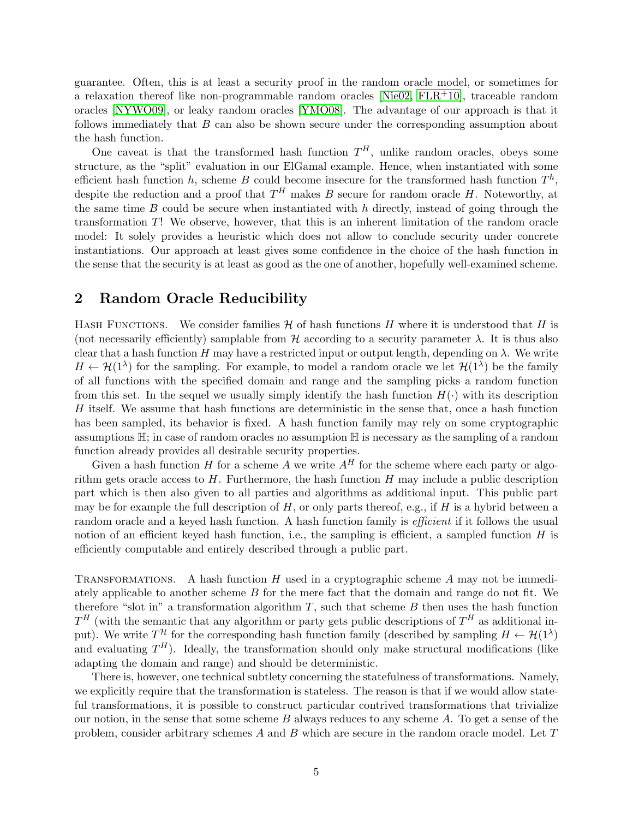<span id="page-4-0"></span>guarantee. Often, this is at least a security proof in the random oracle model, or sometimes for a relaxation thereof like non-programmable random oracles [\[Nie02,](#page-17-2) [FLR](#page-16-10)+10], traceable random oracles [\[NYWO09\]](#page-17-3), or leaky random oracles [\[YMO08\]](#page-17-4). The advantage of our approach is that it follows immediately that  $B$  can also be shown secure under the corresponding assumption about the hash function.

One caveat is that the transformed hash function  $T^H$ , unlike random oracles, obeys some structure, as the "split" evaluation in our ElGamal example. Hence, when instantiated with some efficient hash function h, scheme B could become insecure for the transformed hash function  $T<sup>h</sup>$ , despite the reduction and a proof that  $T^H$  makes B secure for random oracle H. Noteworthy, at the same time  $B$  could be secure when instantiated with  $h$  directly, instead of going through the transformation T! We observe, however, that this is an inherent limitation of the random oracle model: It solely provides a heuristic which does not allow to conclude security under concrete instantiations. Our approach at least gives some confidence in the choice of the hash function in the sense that the security is at least as good as the one of another, hopefully well-examined scheme.

#### 2 Random Oracle Reducibility

HASH FUNCTIONS. We consider families  $H$  of hash functions H where it is understood that H is (not necessarily efficiently) samplable from  $H$  according to a security parameter  $\lambda$ . It is thus also clear that a hash function H may have a restricted input or output length, depending on  $\lambda$ . We write  $H \leftarrow H(1^{\lambda})$  for the sampling. For example, to model a random oracle we let  $H(1^{\lambda})$  be the family of all functions with the specified domain and range and the sampling picks a random function from this set. In the sequel we usually simply identify the hash function  $H(\cdot)$  with its description H itself. We assume that hash functions are deterministic in the sense that, once a hash function has been sampled, its behavior is fixed. A hash function family may rely on some cryptographic assumptions  $\mathbb{H}$ ; in case of random oracles no assumption  $\mathbb{H}$  is necessary as the sampling of a random function already provides all desirable security properties.

Given a hash function H for a scheme A we write  $A^H$  for the scheme where each party or algorithm gets oracle access to  $H$ . Furthermore, the hash function  $H$  may include a public description part which is then also given to all parties and algorithms as additional input. This public part may be for example the full description of  $H$ , or only parts thereof, e.g., if H is a hybrid between a random oracle and a keyed hash function. A hash function family is *efficient* if it follows the usual notion of an efficient keyed hash function, i.e., the sampling is efficient, a sampled function  $H$  is efficiently computable and entirely described through a public part.

TRANSFORMATIONS. A hash function  $H$  used in a cryptographic scheme  $A$  may not be immediately applicable to another scheme B for the mere fact that the domain and range do not fit. We therefore "slot in" a transformation algorithm  $T$ , such that scheme  $B$  then uses the hash function  $T^H$  (with the semantic that any algorithm or party gets public descriptions of  $T^H$  as additional input). We write  $T^{\mathcal{H}}$  for the corresponding hash function family (described by sampling  $H \leftarrow \mathcal{H}(1^{\lambda})$ and evaluating  $T^H$ ). Ideally, the transformation should only make structural modifications (like adapting the domain and range) and should be deterministic.

There is, however, one technical subtlety concerning the statefulness of transformations. Namely, we explicitly require that the transformation is stateless. The reason is that if we would allow stateful transformations, it is possible to construct particular contrived transformations that trivialize our notion, in the sense that some scheme  $B$  always reduces to any scheme  $A$ . To get a sense of the problem, consider arbitrary schemes  $A$  and  $B$  which are secure in the random oracle model. Let  $T$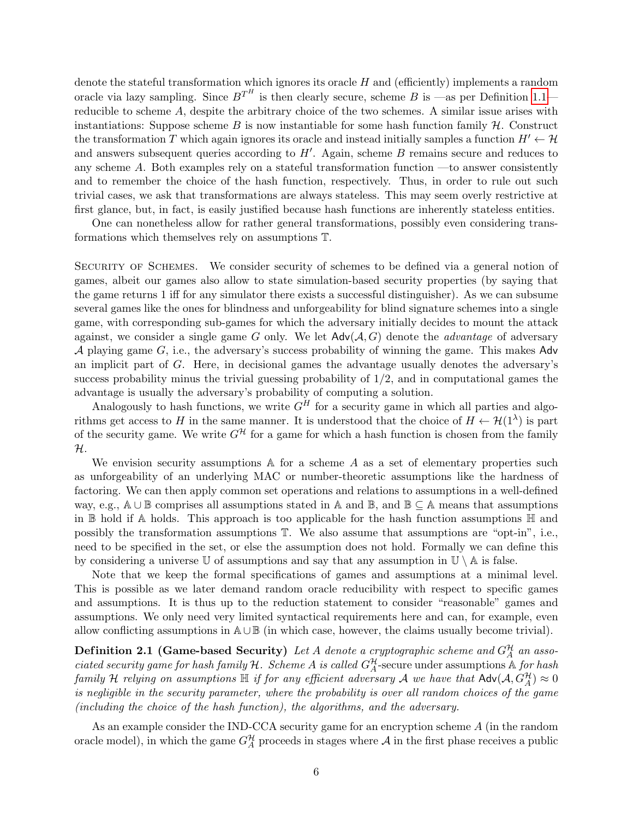denote the stateful transformation which ignores its oracle  $H$  and (efficiently) implements a random oracle via lazy sampling. Since  $B^{T^H}$  is then clearly secure, scheme B is —as per Definition [1.1](#page-1-0) reducible to scheme A, despite the arbitrary choice of the two schemes. A similar issue arises with instantiations: Suppose scheme  $B$  is now instantiable for some hash function family  $H$ . Construct the transformation T which again ignores its oracle and instead initially samples a function  $H' \leftarrow H$ and answers subsequent queries according to  $H'$ . Again, scheme  $B$  remains secure and reduces to any scheme A. Both examples rely on a stateful transformation function —to answer consistently and to remember the choice of the hash function, respectively. Thus, in order to rule out such trivial cases, we ask that transformations are always stateless. This may seem overly restrictive at first glance, but, in fact, is easily justified because hash functions are inherently stateless entities.

One can nonetheless allow for rather general transformations, possibly even considering transformations which themselves rely on assumptions T.

Security of Schemes. We consider security of schemes to be defined via a general notion of games, albeit our games also allow to state simulation-based security properties (by saying that the game returns 1 iff for any simulator there exists a successful distinguisher). As we can subsume several games like the ones for blindness and unforgeability for blind signature schemes into a single game, with corresponding sub-games for which the adversary initially decides to mount the attack against, we consider a single game G only. We let  $Adv(\mathcal{A}, G)$  denote the *advantage* of adversary A playing game  $G$ , i.e., the adversary's success probability of winning the game. This makes Adv an implicit part of  $G$ . Here, in decisional games the advantage usually denotes the adversary's success probability minus the trivial guessing probability of  $1/2$ , and in computational games the advantage is usually the adversary's probability of computing a solution.

Analogously to hash functions, we write  $G^H$  for a security game in which all parties and algorithms get access to H in the same manner. It is understood that the choice of  $H \leftarrow \mathcal{H}(1^{\lambda})$  is part of the security game. We write  $G^{\mathcal{H}}$  for a game for which a hash function is chosen from the family H.

We envision security assumptions  $A$  for a scheme A as a set of elementary properties such as unforgeability of an underlying MAC or number-theoretic assumptions like the hardness of factoring. We can then apply common set operations and relations to assumptions in a well-defined way, e.g.,  $\mathbb{A} \cup \mathbb{B}$  comprises all assumptions stated in  $\mathbb{A}$  and  $\mathbb{B}$ , and  $\mathbb{B} \subseteq \mathbb{A}$  means that assumptions in  $\mathbb B$  hold if A holds. This approach is too applicable for the hash function assumptions  $\mathbb H$  and possibly the transformation assumptions T. We also assume that assumptions are "opt-in", i.e., need to be specified in the set, or else the assumption does not hold. Formally we can define this by considering a universe U of assumptions and say that any assumption in  $\mathbb{U} \setminus \mathbb{A}$  is false.

Note that we keep the formal specifications of games and assumptions at a minimal level. This is possible as we later demand random oracle reducibility with respect to specific games and assumptions. It is thus up to the reduction statement to consider "reasonable" games and assumptions. We only need very limited syntactical requirements here and can, for example, even allow conflicting assumptions in A∪B (in which case, however, the claims usually become trivial).

Definition 2.1 (Game-based Security) Let A denote a cryptographic scheme and  $G_A^{\mathcal{H}}$  an associated security game for hash family H. Scheme A is called  $G_A^{\mathcal{H}}$ -secure under assumptions A for hash family H relying on assumptions  $\mathbb H$  if for any efficient adversary A we have that  $\mathsf{Adv}(\mathcal{A}, G_{A}^{\mathcal{H}}) \approx 0$ is negligible in the security parameter, where the probability is over all random choices of the game (including the choice of the hash function), the algorithms, and the adversary.

As an example consider the IND-CCA security game for an encryption scheme A (in the random oracle model), in which the game  $G_A^{\mathcal{H}}$  proceeds in stages where  $\mathcal{A}$  in the first phase receives a public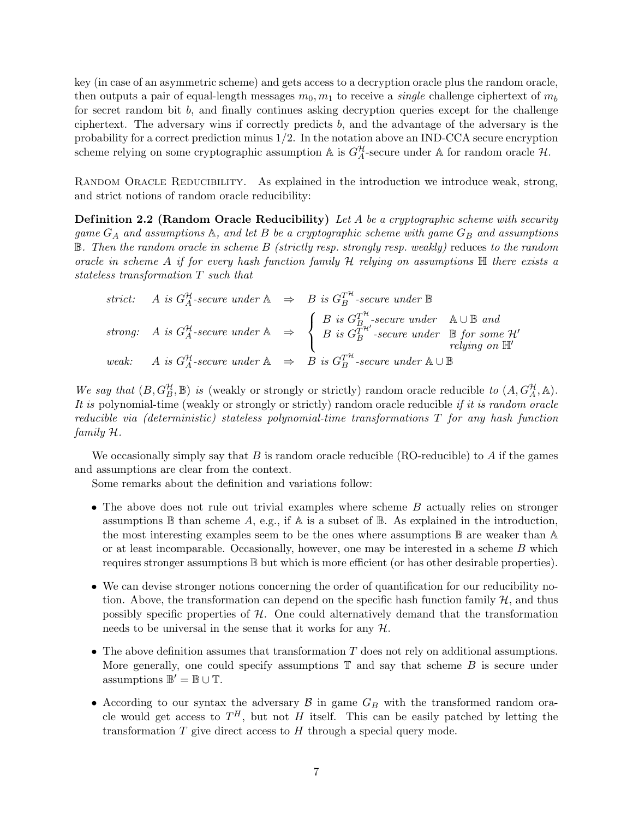key (in case of an asymmetric scheme) and gets access to a decryption oracle plus the random oracle, then outputs a pair of equal-length messages  $m_0, m_1$  to receive a *single* challenge ciphertext of  $m_b$ for secret random bit  $b$ , and finally continues asking decryption queries except for the challenge ciphertext. The adversary wins if correctly predicts  $b$ , and the advantage of the adversary is the probability for a correct prediction minus 1/2. In the notation above an IND-CCA secure encryption scheme relying on some cryptographic assumption  $\mathbb A$  is  $G_A^{\mathcal{H}}$ -secure under  $\mathbb A$  for random oracle  $\mathcal{H}$ .

RANDOM ORACLE REDUCIBILITY. As explained in the introduction we introduce weak, strong, and strict notions of random oracle reducibility:

**Definition 2.2 (Random Oracle Reducibility)** Let A be a cryptographic scheme with security game  $G_A$  and assumptions  $\mathbb A$ , and let B be a cryptographic scheme with game  $G_B$  and assumptions  $\mathbb B$ . Then the random oracle in scheme B (strictly resp. strongly resp. weakly) reduces to the random oracle in scheme A if for every hash function family  $H$  relying on assumptions  $H$  there exists a stateless transformation T such that

$$
strict: A is G_A^{\mathcal{H}}\text{-}secure under A \Rightarrow B is G_B^{T^{\mathcal{H}}}\text{-}secure under B
$$
\n
$$
strong: A is G_A^{\mathcal{H}}\text{-}secure under A \Rightarrow \begin{cases} B is G_B^{T^{\mathcal{H}}}\text{-}secure under A \cup B and \\ B is G_B^{T^{\mathcal{H}}}\text{-}secure under B for some H' \end{cases}
$$
\n
$$
weak: A is G_A^{\mathcal{H}}\text{-}secure under A \Rightarrow B is G_B^{T^{\mathcal{H}}}\text{-}secure under A \cup B
$$

We say that  $(B, G_B^{\mathcal{H}}, \mathbb{B})$  is (weakly or strongly or strictly) random oracle reducible to  $(A, G_A^{\mathcal{H}}, \mathbb{A})$ . It is polynomial-time (weakly or strongly or strictly) random oracle reducible if it is random oracle reducible via (deterministic) stateless polynomial-time transformations T for any hash function family H.

We occasionally simply say that  $B$  is random oracle reducible (RO-reducible) to  $A$  if the games and assumptions are clear from the context.

Some remarks about the definition and variations follow:

- The above does not rule out trivial examples where scheme B actually relies on stronger assumptions  $\mathbb B$  than scheme A, e.g., if  $\mathbb A$  is a subset of  $\mathbb B$ . As explained in the introduction, the most interesting examples seem to be the ones where assumptions B are weaker than A or at least incomparable. Occasionally, however, one may be interested in a scheme  $B$  which requires stronger assumptions B but which is more efficient (or has other desirable properties).
- We can devise stronger notions concerning the order of quantification for our reducibility notion. Above, the transformation can depend on the specific hash function family  $H$ , and thus possibly specific properties of  $H$ . One could alternatively demand that the transformation needs to be universal in the sense that it works for any  $H$ .
- The above definition assumes that transformation  $T$  does not rely on additional assumptions. More generally, one could specify assumptions  $\mathbb T$  and say that scheme  $B$  is secure under assumptions  $\mathbb{B}' = \mathbb{B} \cup \mathbb{T}$ .
- According to our syntax the adversary  $\beta$  in game  $G_B$  with the transformed random oracle would get access to  $T^H$ , but not H itself. This can be easily patched by letting the transformation  $T$  give direct access to  $H$  through a special query mode.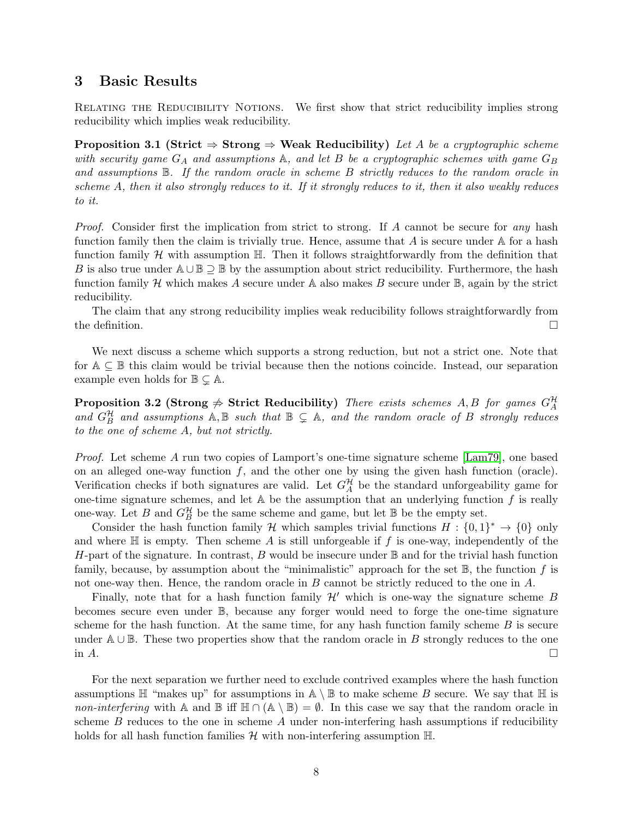### <span id="page-7-0"></span>3 Basic Results

RELATING THE REDUCIBILITY NOTIONS. We first show that strict reducibility implies strong reducibility which implies weak reducibility.

**Proposition 3.1 (Strict**  $\Rightarrow$  **Strong**  $\Rightarrow$  **Weak Reducibility)** Let A be a cryptographic scheme with security game  $G_A$  and assumptions  $\mathbb A$ , and let B be a cryptographic schemes with game  $G_B$ and assumptions B. If the random oracle in scheme B strictly reduces to the random oracle in scheme A, then it also strongly reduces to it. If it strongly reduces to it, then it also weakly reduces to it.

Proof. Consider first the implication from strict to strong. If A cannot be secure for any hash function family then the claim is trivially true. Hence, assume that  $A$  is secure under  $A$  for a hash function family  $H$  with assumption  $\mathbb{H}$ . Then it follows straightforwardly from the definition that B is also true under  $\mathbb{A} \cup \mathbb{B} \supseteq \mathbb{B}$  by the assumption about strict reducibility. Furthermore, the hash function family H which makes A secure under A also makes B secure under  $\mathbb{B}$ , again by the strict reducibility.

The claim that any strong reducibility implies weak reducibility follows straightforwardly from the definition.  $\Box$ 

We next discuss a scheme which supports a strong reduction, but not a strict one. Note that for  $A \subseteq \mathbb{B}$  this claim would be trivial because then the notions coincide. Instead, our separation example even holds for  $\mathbb{B} \subsetneq \mathbb{A}$ .

Proposition 3.2 (Strong  $\frac{1}{P}$  Strict Reducibility) There exists schemes A, B for games  $G_A^{\mathcal{H}}$ and  $G_B^{\mathcal{H}}$  and assumptions  $A, B$  such that  $B \subsetneq A$ , and the random oracle of B strongly reduces to the one of scheme A, but not strictly.

Proof. Let scheme A run two copies of Lamport's one-time signature scheme [\[Lam79\]](#page-17-5), one based on an alleged one-way function  $f$ , and the other one by using the given hash function (oracle). Verification checks if both signatures are valid. Let  $G_A^{\mathcal{H}}$  be the standard unforgeability game for one-time signature schemes, and let  $A$  be the assumption that an underlying function  $f$  is really one-way. Let B and  $G_B^{\mathcal{H}}$  be the same scheme and game, but let B be the empty set.

Consider the hash function family H which samples trivial functions  $H: \{0,1\}^* \to \{0\}$  only and where  $\mathbb H$  is empty. Then scheme A is still unforgeable if f is one-way, independently of the H-part of the signature. In contrast, B would be insecure under  $\mathbb B$  and for the trivial hash function family, because, by assumption about the "minimalistic" approach for the set  $\mathbb{B}$ , the function f is not one-way then. Hence, the random oracle in B cannot be strictly reduced to the one in A.

Finally, note that for a hash function family  $\mathcal{H}'$  which is one-way the signature scheme B becomes secure even under B, because any forger would need to forge the one-time signature scheme for the hash function. At the same time, for any hash function family scheme  $B$  is secure under  $\mathbb{A} \cup \mathbb{B}$ . These two properties show that the random oracle in B strongly reduces to the one in  $A$ .

For the next separation we further need to exclude contrived examples where the hash function assumptions  $\mathbb H$  "makes up" for assumptions in  $\mathbb A \setminus \mathbb B$  to make scheme B secure. We say that  $\mathbb H$  is non-interfering with A and B iff  $\mathbb{H} \cap (\mathbb{A} \setminus \mathbb{B}) = \emptyset$ . In this case we say that the random oracle in scheme  $B$  reduces to the one in scheme  $A$  under non-interfering hash assumptions if reducibility holds for all hash function families  $\mathcal H$  with non-interfering assumption  $\mathbb H$ .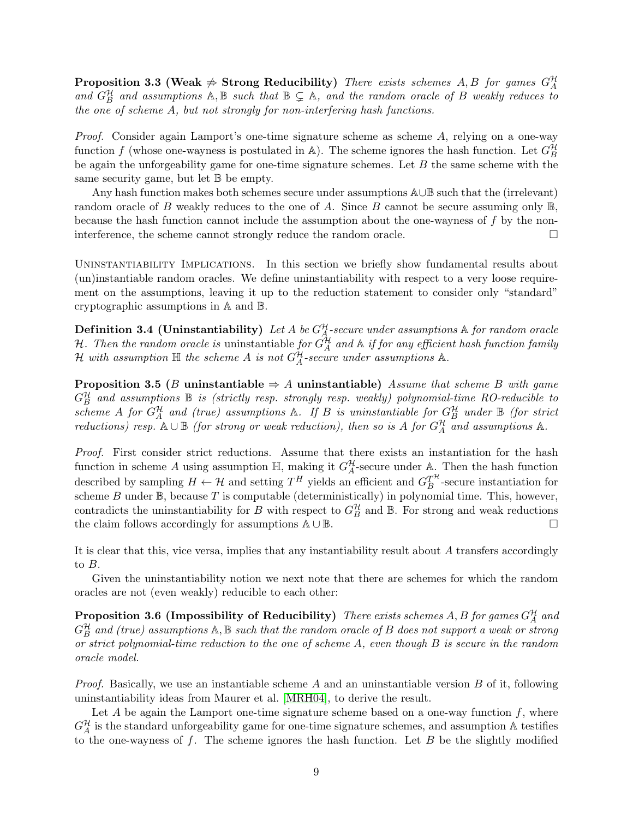<span id="page-8-0"></span>**Proposition 3.3 (Weak**  $\neq$  **Strong Reducibility)** There exists schemes  $A, B$  for games  $G_A^{\mathcal{H}}$ and  $G_B^{\mathcal{H}}$  and assumptions  $A, B$  such that  $B \subsetneq A$ , and the random oracle of B weakly reduces to the one of scheme A, but not strongly for non-interfering hash functions.

Proof. Consider again Lamport's one-time signature scheme as scheme A, relying on a one-way function f (whose one-wayness is postulated in A). The scheme ignores the hash function. Let  $G_B^{\mathcal{H}}$ be again the unforgeability game for one-time signature schemes. Let  $B$  the same scheme with the same security game, but let  $\mathbb B$  be empty.

Any hash function makes both schemes secure under assumptions A∪B such that the (irrelevant) random oracle of B weakly reduces to the one of A. Since B cannot be secure assuming only  $\mathbb{B}$ , because the hash function cannot include the assumption about the one-wayness of f by the noninterference, the scheme cannot strongly reduce the random oracle.

Uninstantiability Implications. In this section we briefly show fundamental results about (un)instantiable random oracles. We define uninstantiability with respect to a very loose requirement on the assumptions, leaving it up to the reduction statement to consider only "standard" cryptographic assumptions in A and B.

**Definition 3.4 (Uninstantiability)** Let A be  $G_A^{\mathcal{H}}$ -secure under assumptions  $\mathbb A$  for random oracle H. Then the random oracle is uninstantiable for  $\hat{G}_{A}^{\mathcal{H}}$  and  $\mathbb A$  if for any efficient hash function family H with assumption  $\mathbb H$  the scheme A is not  $G_A^{\mathcal{H}}$ -secure under assumptions  $\mathbb A$ .

**Proposition 3.5** (B uninstantiable  $\Rightarrow$  A uninstantiable) Assume that scheme B with game  $G_B^{\mathcal H}$  and assumptions  $\mathbb B$  is (strictly resp. strongly resp. weakly) polynomial-time RO-reducible to scheme A for  $G_A^{\mathcal{H}}$  and (true) assumptions A. If B is uninstantiable for  $G_B^{\mathcal{H}}$  under  $\mathbb B$  (for strict reductions) resp.  $A \cup B$  (for strong or weak reduction), then so is A for  $G_A^{\mathcal{H}}$  and assumptions A.

Proof. First consider strict reductions. Assume that there exists an instantiation for the hash function in scheme A using assumption  $\mathbb{H}$ , making it  $G_A^{\mathcal{H}}$ -secure under A. Then the hash function described by sampling  $H \leftarrow H$  and setting  $T^H$  yields an efficient and  $G_B^{T^H}$ -secure instantiation for scheme  $B$  under  $\mathbb B$ , because  $T$  is computable (deterministically) in polynomial time. This, however, contradicts the uninstantiability for B with respect to  $G_B^{\mathcal{H}}$  and  $\mathbb{B}$ . For strong and weak reductions the claim follows accordingly for assumptions  $A \cup B$ .

It is clear that this, vice versa, implies that any instantiability result about A transfers accordingly to B.

Given the uninstantiability notion we next note that there are schemes for which the random oracles are not (even weakly) reducible to each other:

Proposition 3.6 (Impossibility of Reducibility) There exists schemes A, B for games  $G_A^{\mathcal{H}}$  and  $G_B^{\mathcal H}$  and (true) assumptions  $\mathbb A,\mathbb B$  such that the random oracle of  $B$  does not support a weak or strong or strict polynomial-time reduction to the one of scheme A, even though B is secure in the random oracle model.

*Proof.* Basically, we use an instantiable scheme A and an uninstantiable version B of it, following uninstantiability ideas from Maurer et al. [\[MRH04\]](#page-17-6), to derive the result.

Let A be again the Lamport one-time signature scheme based on a one-way function  $f$ , where  $G_A^{\mathcal{H}}$  is the standard unforgeability game for one-time signature schemes, and assumption A testifies to the one-wayness of  $f$ . The scheme ignores the hash function. Let  $B$  be the slightly modified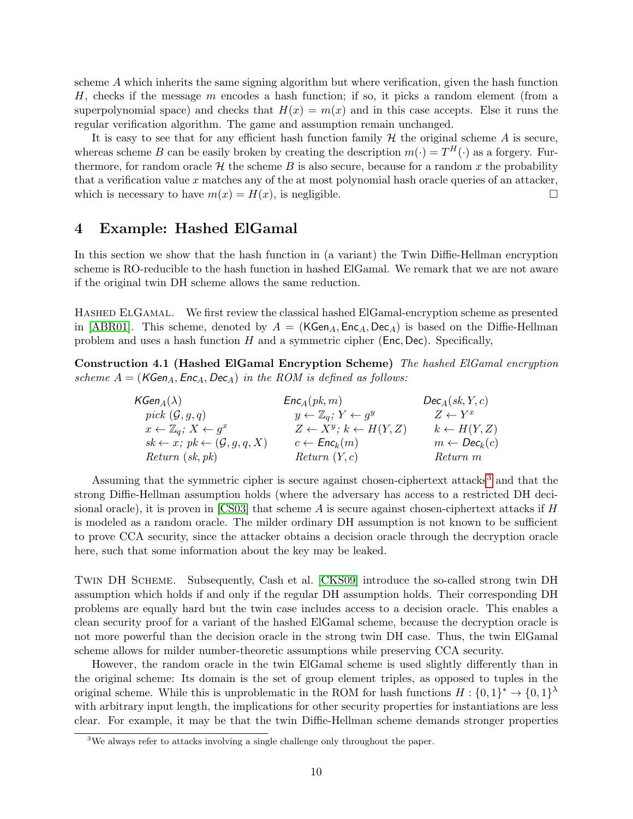<span id="page-9-1"></span>scheme A which inherits the same signing algorithm but where verification, given the hash function H, checks if the message m encodes a hash function; if so, it picks a random element (from a superpolynomial space) and checks that  $H(x) = m(x)$  and in this case accepts. Else it runs the regular verification algorithm. The game and assumption remain unchanged.

It is easy to see that for any efficient hash function family  $H$  the original scheme A is secure, whereas scheme B can be easily broken by creating the description  $m(\cdot) = T^H(\cdot)$  as a forgery. Furthermore, for random oracle  $\mathcal H$  the scheme  $B$  is also secure, because for a random x the probability that a verification value x matches any of the at most polynomial hash oracle queries of an attacker, which is necessary to have  $m(x) = H(x)$ , is negligible.

#### 4 Example: Hashed ElGamal

In this section we show that the hash function in (a variant) the Twin Diffie-Hellman encryption scheme is RO-reducible to the hash function in hashed ElGamal. We remark that we are not aware if the original twin DH scheme allows the same reduction.

Hashed ElGamal. We first review the classical hashed ElGamal-encryption scheme as presented in [\[ABR01\]](#page-15-3). This scheme, denoted by  $A = (KGen_A, Enc_A, Dec_A)$  is based on the Diffie-Hellman problem and uses a hash function  $H$  and a symmetric cipher (Enc, Dec). Specifically,

Construction 4.1 (Hashed ElGamal Encryption Scheme) The hashed ElGamal encryption scheme  $A = (KGen_A, Enc_A, Dec_A)$  in the ROM is defined as follows:

| $\mathcal{KG}en_{A}(\lambda)$                              | $Enc_A(pk, m)$                                   | $Dec_A(\mathit{sk}, Y, c)$ |
|------------------------------------------------------------|--------------------------------------------------|----------------------------|
| pick $(\mathcal{G},g,q)$                                   | $y \leftarrow \mathbb{Z}_q$ ; $Y \leftarrow g^y$ | $Z \leftarrow Y^x$         |
| $x \leftarrow \mathbb{Z}_q$ ; $X \leftarrow q^x$           | $Z \leftarrow X^y$ ; $k \leftarrow H(Y, Z)$      | $k \leftarrow H(Y, Z)$     |
| $sk \leftarrow x$ ; $pk \leftarrow (\mathcal{G}, g, q, X)$ | $c \leftarrow \mathsf{Enc}_k(m)$                 | $m \leftarrow Dec_k(c)$    |
| Return (sk, pk)                                            | Return(Y, c)                                     | Return m                   |

Assuming that the symmetric cipher is secure against chosen-ciphertext attacks<sup>[3](#page-9-0)</sup> and that the strong Diffie-Hellman assumption holds (where the adversary has access to a restricted DH decisional oracle), it is proven in  $\left[CS03\right]$  that scheme A is secure against chosen-ciphertext attacks if H is modeled as a random oracle. The milder ordinary DH assumption is not known to be sufficient to prove CCA security, since the attacker obtains a decision oracle through the decryption oracle here, such that some information about the key may be leaked.

TWIN DH SCHEME. Subsequently, Cash et al. [\[CKS09\]](#page-16-3) introduce the so-called strong twin DH assumption which holds if and only if the regular DH assumption holds. Their corresponding DH problems are equally hard but the twin case includes access to a decision oracle. This enables a clean security proof for a variant of the hashed ElGamal scheme, because the decryption oracle is not more powerful than the decision oracle in the strong twin DH case. Thus, the twin ElGamal scheme allows for milder number-theoretic assumptions while preserving CCA security.

However, the random oracle in the twin ElGamal scheme is used slightly differently than in the original scheme: Its domain is the set of group element triples, as opposed to tuples in the original scheme. While this is unproblematic in the ROM for hash functions  $H: \{0,1\}^* \to \{0,1\}^{\lambda}$ with arbitrary input length, the implications for other security properties for instantiations are less clear. For example, it may be that the twin Diffie-Hellman scheme demands stronger properties

<span id="page-9-0"></span><sup>&</sup>lt;sup>3</sup>We always refer to attacks involving a single challenge only throughout the paper.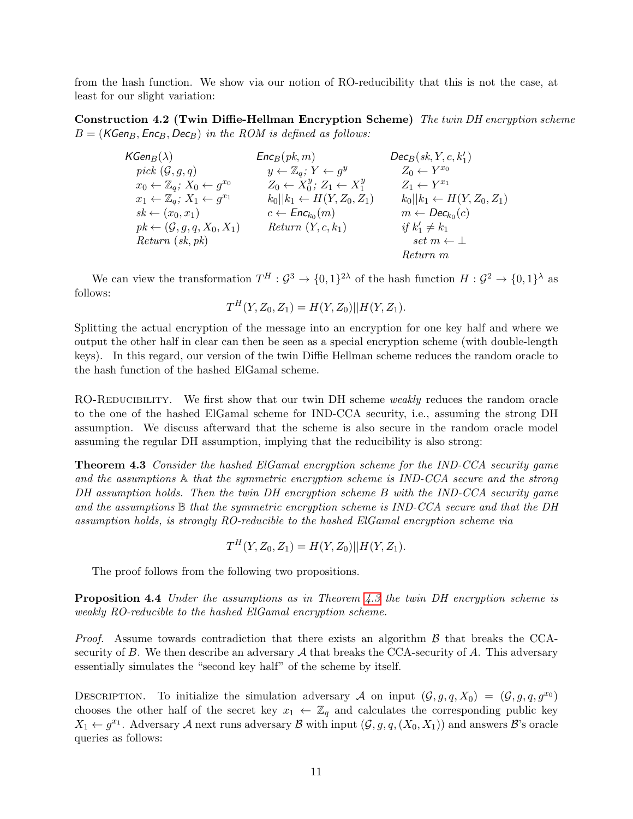from the hash function. We show via our notion of RO-reducibility that this is not the case, at least for our slight variation:

Construction 4.2 (Twin Diffie-Hellman Encryption Scheme) The twin DH encryption scheme  $B = (KGen_B, Enc_B, Dec_B)$  in the ROM is defined as follows:

| $\mathcal{KG}$ en $_B(\lambda)$                          | $Enc_B(pk, m)$                                   | $Dec_B(\mathit{sk}, Y, c, k'_1)$     |
|----------------------------------------------------------|--------------------------------------------------|--------------------------------------|
| pick $(\mathcal{G},g,q)$                                 | $y \leftarrow \mathbb{Z}_q$ ; $Y \leftarrow q^y$ | $Z_0 \leftarrow Y^{x_0}$             |
| $x_0 \leftarrow \mathbb{Z}_q$ ; $X_0 \leftarrow q^{x_0}$ | $Z_0 \leftarrow X_0^y$ ; $Z_1 \leftarrow X_1^y$  | $Z_1 \leftarrow Y^{x_1}$             |
| $x_1 \leftarrow \mathbb{Z}_q$ ; $X_1 \leftarrow q^{x_1}$ | $k_0  k_1 \leftarrow H(Y, Z_0, Z_1)$             | $k_0  k_1 \leftarrow H(Y, Z_0, Z_1)$ |
| $sk \leftarrow (x_0, x_1)$                               | $c \leftarrow \mathsf{Enc}_{k_0}(m)$             | $m \leftarrow Dec_{k_0}(c)$          |
| $pk \leftarrow (\mathcal{G}, q, q, X_0, X_1)$            | $Return(Y, c, k_1)$                              | if $k'_1 \neq k_1$                   |
| Return (sk, pk)                                          |                                                  | set $m \leftarrow \perp$             |
|                                                          |                                                  | Return m                             |

We can view the transformation  $T^H: \mathcal{G}^3 \to \{0,1\}^{2\lambda}$  of the hash function  $H: \mathcal{G}^2 \to \{0,1\}^{\lambda}$  as follows:

$$
T^H(Y, Z_0, Z_1) = H(Y, Z_0)||H(Y, Z_1).
$$

Splitting the actual encryption of the message into an encryption for one key half and where we output the other half in clear can then be seen as a special encryption scheme (with double-length keys). In this regard, our version of the twin Diffie Hellman scheme reduces the random oracle to the hash function of the hashed ElGamal scheme.

RO-REDUCIBILITY. We first show that our twin DH scheme *weakly* reduces the random oracle to the one of the hashed ElGamal scheme for IND-CCA security, i.e., assuming the strong DH assumption. We discuss afterward that the scheme is also secure in the random oracle model assuming the regular DH assumption, implying that the reducibility is also strong:

Theorem 4.3 Consider the hashed ElGamal encryption scheme for the IND-CCA security game and the assumptions A that the symmetric encryption scheme is IND-CCA secure and the strong DH assumption holds. Then the twin DH encryption scheme B with the IND-CCA security game and the assumptions  $\mathbb B$  that the symmetric encryption scheme is IND-CCA secure and that the DH assumption holds, is strongly RO-reducible to the hashed ElGamal encryption scheme via

<span id="page-10-0"></span>
$$
T^H(Y, Z_0, Z_1) = H(Y, Z_0)||H(Y, Z_1).
$$

The proof follows from the following two propositions.

**Proposition 4.4** Under the assumptions as in Theorem [4.3](#page-10-0) the twin DH encryption scheme is weakly RO-reducible to the hashed ElGamal encryption scheme.

*Proof.* Assume towards contradiction that there exists an algorithm  $\beta$  that breaks the CCAsecurity of B. We then describe an adversary  $A$  that breaks the CCA-security of A. This adversary essentially simulates the "second key half" of the scheme by itself.

DESCRIPTION. To initialize the simulation adversary A on input  $(\mathcal{G}, g, q, X_0) = (\mathcal{G}, g, q, g^{x_0})$ chooses the other half of the secret key  $x_1 \leftarrow \mathbb{Z}_q$  and calculates the corresponding public key  $X_1 \leftarrow g^{x_1}$ . Adversary A next runs adversary B with input  $(\mathcal{G}, g, q, (X_0, X_1))$  and answers B's oracle queries as follows: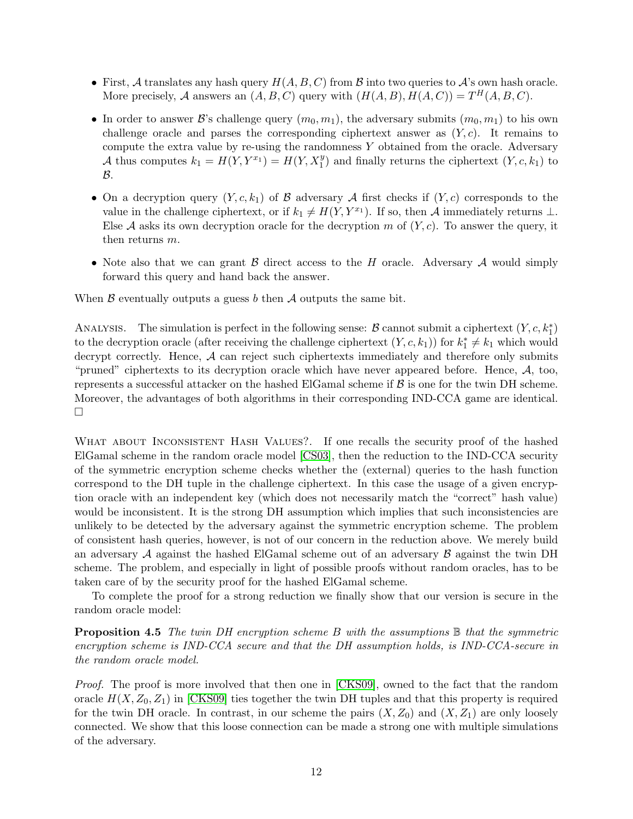- <span id="page-11-0"></span>• First, A translates any hash query  $H(A, B, C)$  from B into two queries to A's own hash oracle. More precisely, A answers an  $(A, B, C)$  query with  $(H(A, B), H(A, C)) = T^H(A, B, C)$ .
- In order to answer B's challenge query  $(m_0, m_1)$ , the adversary submits  $(m_0, m_1)$  to his own challenge oracle and parses the corresponding ciphertext answer as  $(Y, c)$ . It remains to compute the extra value by re-using the randomness  $Y$  obtained from the oracle. Adversary A thus computes  $k_1 = H(Y, Y^{x_1}) = H(Y, X_1^y)$  and finally returns the ciphertext  $(Y, c, k_1)$  to  $\mathcal{B}.$
- On a decryption query  $(Y, c, k_1)$  of B adversary A first checks if  $(Y, c)$  corresponds to the value in the challenge ciphertext, or if  $k_1 \neq H(Y, Y^{x_1})$ . If so, then A immediately returns  $\perp$ . Else A asks its own decryption oracle for the decryption m of  $(Y, c)$ . To answer the query, it then returns m.
- Note also that we can grant  $\beta$  direct access to the H oracle. Adversary A would simply forward this query and hand back the answer.

When  $\beta$  eventually outputs a guess b then  $\mathcal A$  outputs the same bit.

ANALYSIS. The simulation is perfect in the following sense:  $\mathcal{B}$  cannot submit a ciphertext  $(Y, c, k_1^*)$ to the decryption oracle (after receiving the challenge ciphertext  $(Y, c, k_1)$ ) for  $k_1^* \neq k_1$  which would decrypt correctly. Hence, A can reject such ciphertexts immediately and therefore only submits "pruned" ciphertexts to its decryption oracle which have never appeared before. Hence, A, too, represents a successful attacker on the hashed ElGamal scheme if  $\beta$  is one for the twin DH scheme. Moreover, the advantages of both algorithms in their corresponding IND-CCA game are identical.  $\Box$ 

WHAT ABOUT INCONSISTENT HASH VALUES?. If one recalls the security proof of the hashed ElGamal scheme in the random oracle model [\[CS03\]](#page-16-2), then the reduction to the IND-CCA security of the symmetric encryption scheme checks whether the (external) queries to the hash function correspond to the DH tuple in the challenge ciphertext. In this case the usage of a given encryption oracle with an independent key (which does not necessarily match the "correct" hash value) would be inconsistent. It is the strong DH assumption which implies that such inconsistencies are unlikely to be detected by the adversary against the symmetric encryption scheme. The problem of consistent hash queries, however, is not of our concern in the reduction above. We merely build an adversary  $\mathcal A$  against the hashed ElGamal scheme out of an adversary  $\mathcal B$  against the twin DH scheme. The problem, and especially in light of possible proofs without random oracles, has to be taken care of by the security proof for the hashed ElGamal scheme.

To complete the proof for a strong reduction we finally show that our version is secure in the random oracle model:

**Proposition 4.5** The twin DH encryption scheme B with the assumptions  $\mathbb{B}$  that the symmetric encryption scheme is IND-CCA secure and that the DH assumption holds, is IND-CCA-secure in the random oracle model.

*Proof.* The proof is more involved that then one in [\[CKS09\]](#page-16-3), owned to the fact that the random oracle  $H(X, Z_0, Z_1)$  in [\[CKS09\]](#page-16-3) ties together the twin DH tuples and that this property is required for the twin DH oracle. In contrast, in our scheme the pairs  $(X, Z_0)$  and  $(X, Z_1)$  are only loosely connected. We show that this loose connection can be made a strong one with multiple simulations of the adversary.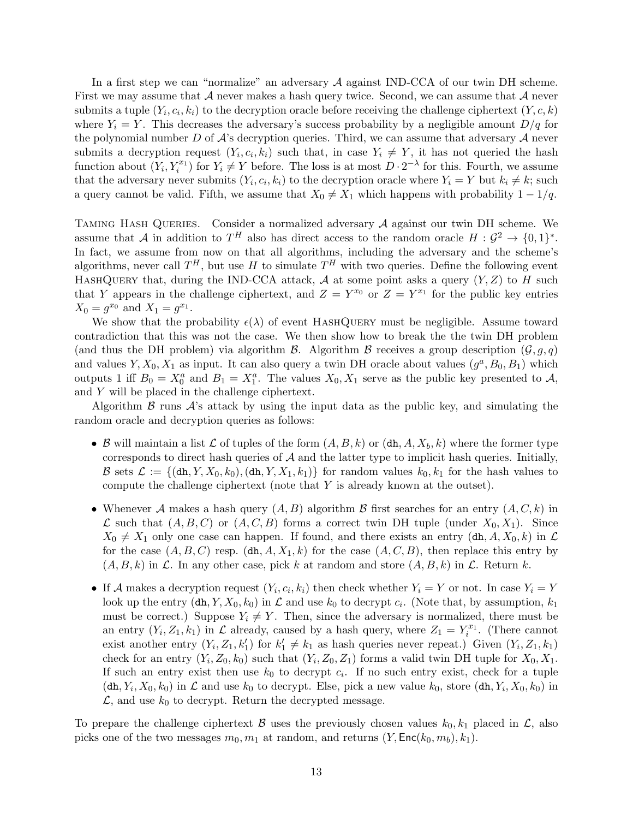In a first step we can "normalize" an adversary  $A$  against IND-CCA of our twin DH scheme. First we may assume that  $A$  never makes a hash query twice. Second, we can assume that  $A$  never submits a tuple  $(Y_i, c_i, k_i)$  to the decryption oracle before receiving the challenge ciphertext  $(Y, c, k)$ where  $Y_i = Y$ . This decreases the adversary's success probability by a negligible amount  $D/q$  for the polynomial number  $D$  of  $\mathcal{A}$ 's decryption queries. Third, we can assume that adversary  $\mathcal{A}$  never submits a decryption request  $(Y_i, c_i, k_i)$  such that, in case  $Y_i \neq Y$ , it has not queried the hash function about  $(Y_i, Y_i^{x_1})$  for  $Y_i \neq Y$  before. The loss is at most  $D \cdot 2^{-\lambda}$  for this. Fourth, we assume that the adversary never submits  $(Y_i, c_i, k_i)$  to the decryption oracle where  $Y_i = Y$  but  $k_i \neq k$ ; such a query cannot be valid. Fifth, we assume that  $X_0 \neq X_1$  which happens with probability  $1 - 1/q$ .

TAMING HASH QUERIES. Consider a normalized adversary  $A$  against our twin DH scheme. We assume that A in addition to  $T^H$  also has direct access to the random oracle  $H: \mathcal{G}^2 \to \{0,1\}^*$ . In fact, we assume from now on that all algorithms, including the adversary and the scheme's algorithms, never call  $T^H$ , but use H to simulate  $T^H$  with two queries. Define the following event HASHQUERY that, during the IND-CCA attack,  $A$  at some point asks a query  $(Y, Z)$  to H such that Y appears in the challenge ciphertext, and  $Z = Y^{x_0}$  or  $Z = Y^{x_1}$  for the public key entries  $X_0 = g^{x_0}$  and  $X_1 = g^{x_1}$ .

We show that the probability  $\epsilon(\lambda)$  of event HASHQUERY must be negligible. Assume toward contradiction that this was not the case. We then show how to break the the twin DH problem (and thus the DH problem) via algorithm  $\beta$ . Algorithm  $\beta$  receives a group description  $(\mathcal{G}, q, q)$ and values  $Y, X_0, X_1$  as input. It can also query a twin DH oracle about values  $(g^a, B_0, B_1)$  which outputs 1 iff  $B_0 = X_0^a$  and  $B_1 = X_1^a$ . The values  $X_0, X_1$  serve as the public key presented to A, and Y will be placed in the challenge ciphertext.

Algorithm  $\beta$  runs  $\mathcal{A}$ 's attack by using the input data as the public key, and simulating the random oracle and decryption queries as follows:

- B will maintain a list L of tuples of the form  $(A, B, k)$  or  $(dh, A, X_b, k)$  where the former type corresponds to direct hash queries of  $A$  and the latter type to implicit hash queries. Initially, B sets  $\mathcal{L} := \{(\text{dh}, Y, X_0, k_0), (\text{dh}, Y, X_1, k_1)\}\$  for random values  $k_0, k_1$  for the hash values to compute the challenge ciphertext (note that Y is already known at the outset).
- Whenever A makes a hash query  $(A, B)$  algorithm B first searches for an entry  $(A, C, k)$  in  $\mathcal L$  such that  $(A, B, C)$  or  $(A, C, B)$  forms a correct twin DH tuple (under  $X_0, X_1$ ). Since  $X_0 \neq X_1$  only one case can happen. If found, and there exists an entry (dh, A,  $X_0$ , k) in  $\mathcal L$ for the case  $(A, B, C)$  resp.  $(dh, A, X_1, k)$  for the case  $(A, C, B)$ , then replace this entry by  $(A, B, k)$  in  $\mathcal{L}$ . In any other case, pick k at random and store  $(A, B, k)$  in  $\mathcal{L}$ . Return k.
- If A makes a decryption request  $(Y_i, c_i, k_i)$  then check whether  $Y_i = Y$  or not. In case  $Y_i = Y$ look up the entry  $(\text{dh}, Y, X_0, k_0)$  in  $\mathcal L$  and use  $k_0$  to decrypt  $c_i$ . (Note that, by assumption,  $k_1$ must be correct.) Suppose  $Y_i \neq Y$ . Then, since the adversary is normalized, there must be an entry  $(Y_i, Z_1, k_1)$  in  $\mathcal L$  already, caused by a hash query, where  $Z_1 = Y_i^{x_1}$ . (There cannot exist another entry  $(Y_i, Z_1, k'_1)$  for  $k'_1 \neq k_1$  as hash queries never repeat.) Given  $(Y_i, Z_1, k_1)$ check for an entry  $(Y_i, Z_0, k_0)$  such that  $(Y_i, Z_0, Z_1)$  forms a valid twin DH tuple for  $X_0, X_1$ . If such an entry exist then use  $k_0$  to decrypt  $c_i$ . If no such entry exist, check for a tuple  $(\mathbf{dh}, Y_i, X_0, k_0)$  in  $\mathcal L$  and use  $k_0$  to decrypt. Else, pick a new value  $k_0$ , store  $(\mathbf{dh}, Y_i, X_0, k_0)$  in  $\mathcal{L}$ , and use  $k_0$  to decrypt. Return the decrypted message.

To prepare the challenge ciphertext  $\beta$  uses the previously chosen values  $k_0, k_1$  placed in  $\mathcal{L}$ , also picks one of the two messages  $m_0, m_1$  at random, and returns  $(Y, \text{Enc}(k_0, m_b), k_1)$ .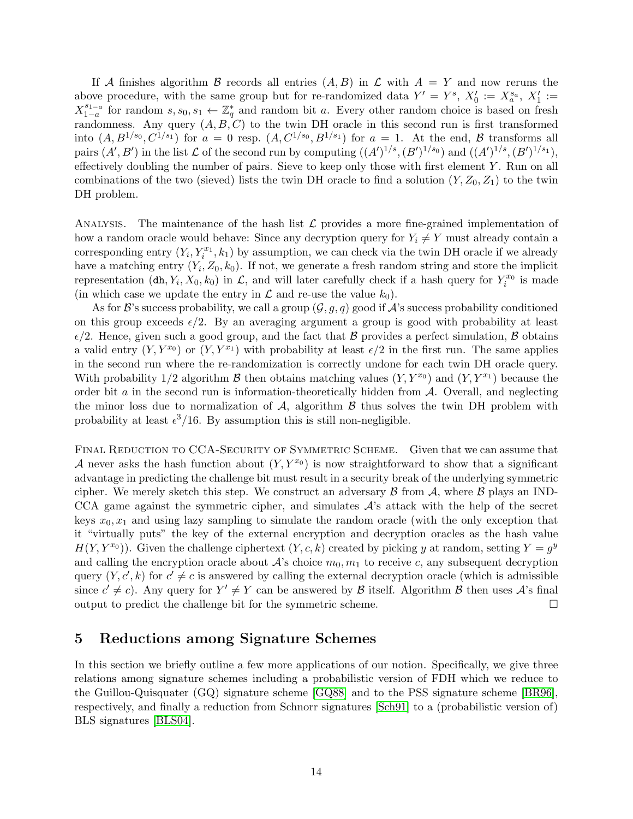<span id="page-13-0"></span>If A finishes algorithm B records all entries  $(A, B)$  in L with  $A = Y$  and now reruns the above procedure, with the same group but for re-randomized data  $Y' = Y^s$ ,  $X'_0 := X_a^{s_a}$ ,  $X'_1 := X_a^{s_a}$  $X^{s_{1-a}}_{1-a}$  $s_{1-a}^{s_{1-a}}$  for random  $s, s_0, s_1 \leftarrow \mathbb{Z}_q^*$  and random bit a. Every other random choice is based on fresh randomness. Any query  $(A, B, C)$  to the twin DH oracle in this second run is first transformed into  $(A, B^{1/s_0}, C^{1/s_1})$  for  $a = 0$  resp.  $(A, C^{1/s_0}, B^{1/s_1})$  for  $a = 1$ . At the end, B transforms all pairs  $(A', B')$  in the list L of the second run by computing  $((A')^{1/s}, (B')^{1/s_0})$  and  $((A')^{1/s}, (B')^{1/s_1})$ , effectively doubling the number of pairs. Sieve to keep only those with first element  $Y$ . Run on all combinations of the two (sieved) lists the twin DH oracle to find a solution  $(Y, Z_0, Z_1)$  to the twin DH problem.

ANALYSIS. The maintenance of the hash list  $\mathcal L$  provides a more fine-grained implementation of how a random oracle would behave: Since any decryption query for  $Y_i \neq Y$  must already contain a corresponding entry  $(Y_i, Y_i^{x_1}, k_1)$  by assumption, we can check via the twin DH oracle if we already have a matching entry  $(Y_i, Z_0, k_0)$ . If not, we generate a fresh random string and store the implicit representation  $(dh, Y_i, X_0, k_0)$  in  $\mathcal{L}$ , and will later carefully check if a hash query for  $Y_i^{x_0}$  is made (in which case we update the entry in  $\mathcal L$  and re-use the value  $k_0$ ).

As for B's success probability, we call a group  $(\mathcal{G}, q, q)$  good if A's success probability conditioned on this group exceeds  $\epsilon/2$ . By an averaging argument a group is good with probability at least  $\epsilon/2$ . Hence, given such a good group, and the fact that  $\beta$  provides a perfect simulation,  $\beta$  obtains a valid entry  $(Y, Y^{x_0})$  or  $(Y, Y^{x_1})$  with probability at least  $\epsilon/2$  in the first run. The same applies in the second run where the re-randomization is correctly undone for each twin DH oracle query. With probability  $1/2$  algorithm B then obtains matching values  $(Y, Y^{x_0})$  and  $(Y, Y^{x_1})$  because the order bit  $a$  in the second run is information-theoretically hidden from  $A$ . Overall, and neglecting the minor loss due to normalization of  $A$ , algorithm  $B$  thus solves the twin DH problem with probability at least  $\epsilon^3/16$ . By assumption this is still non-negligible.

FINAL REDUCTION TO CCA-SECURITY OF SYMMETRIC SCHEME. Given that we can assume that A never asks the hash function about  $(Y, Y^{x_0})$  is now straightforward to show that a significant advantage in predicting the challenge bit must result in a security break of the underlying symmetric cipher. We merely sketch this step. We construct an adversary  $\beta$  from  $\mathcal{A}$ , where  $\beta$  plays an IND-CCA game against the symmetric cipher, and simulates  $A$ 's attack with the help of the secret keys  $x_0, x_1$  and using lazy sampling to simulate the random oracle (with the only exception that it "virtually puts" the key of the external encryption and decryption oracles as the hash value  $H(Y, Y^{x_0})$ ). Given the challenge ciphertext  $(Y, c, k)$  created by picking y at random, setting  $Y = g^y$ and calling the encryption oracle about  $\mathcal{A}$ 's choice  $m_0, m_1$  to receive c, any subsequent decryption query  $(Y, c', k)$  for  $c' \neq c$  is answered by calling the external decryption oracle (which is admissible since  $c' \neq c$ ). Any query for  $Y' \neq Y$  can be answered by  $\beta$  itself. Algorithm  $\beta$  then uses  $\mathcal{A}$ 's final output to predict the challenge bit for the symmetric scheme.  $\Box$ 

#### 5 Reductions among Signature Schemes

In this section we briefly outline a few more applications of our notion. Specifically, we give three relations among signature schemes including a probabilistic version of FDH which we reduce to the Guillou-Quisquater (GQ) signature scheme [\[GQ88\]](#page-16-4) and to the PSS signature scheme [\[BR96\]](#page-15-5), respectively, and finally a reduction from Schnorr signatures [\[Sch91\]](#page-17-1) to a (probabilistic version of) BLS signatures [\[BLS04\]](#page-15-6).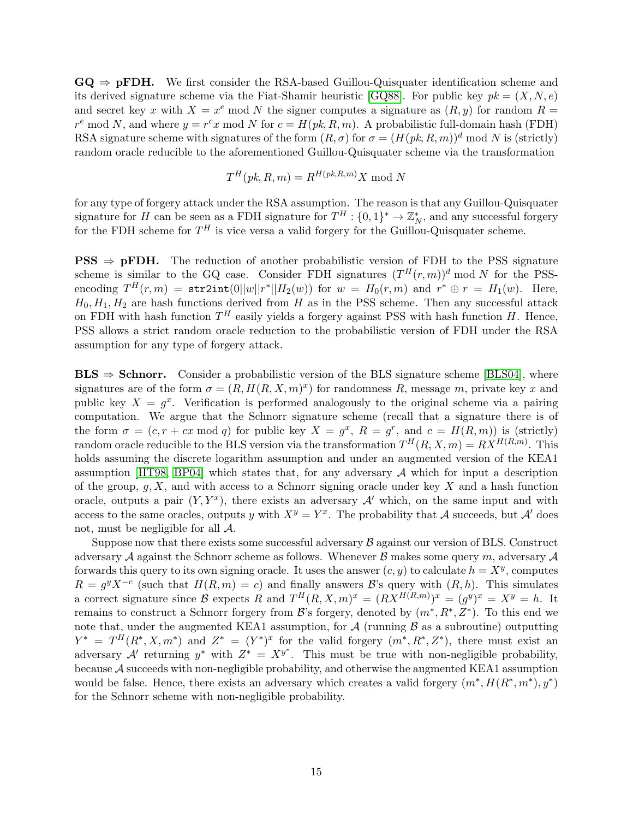<span id="page-14-0"></span> $\textbf{GQ} \Rightarrow \textbf{pFDH}$ . We first consider the RSA-based Guillou-Quisquater identification scheme and its derived signature scheme via the Fiat-Shamir heuristic [\[GQ88\]](#page-16-4). For public key  $pk = (X, N, e)$ and secret key x with  $X = x^e \mod N$  the signer computes a signature as  $(R, y)$  for random  $R =$  $r^e \mod N$ , and where  $y = r^c x \mod N$  for  $c = H(pk, R, m)$ . A probabilistic full-domain hash (FDH) RSA signature scheme with signatures of the form  $(R, \sigma)$  for  $\sigma = (H(pk, R, m))^d$  mod N is (strictly) random oracle reducible to the aforementioned Guillou-Quisquater scheme via the transformation

$$
T^H(pk, R, m) = R^{H(pk, R, m)}X \bmod N
$$

for any type of forgery attack under the RSA assumption. The reason is that any Guillou-Quisquater signature for H can be seen as a FDH signature for  $T^H: \{0,1\}^* \to \mathbb{Z}_N^*$ , and any successful forgery for the FDH scheme for  $T^H$  is vice versa a valid forgery for the Guillou-Quisquater scheme.

**PSS**  $\Rightarrow$  **pFDH.** The reduction of another probabilistic version of FDH to the PSS signature scheme is similar to the GQ case. Consider FDH signatures  $(T^H(r, m))^d$  mod N for the PSSencoding  $T^H(r,m) = \texttt{str2int}(0||w||r^*||H_2(w))$  for  $w = H_0(r,m)$  and  $r^* \oplus r = H_1(w)$ . Here,  $H_0, H_1, H_2$  are hash functions derived from H as in the PSS scheme. Then any successful attack on FDH with hash function  $T^H$  easily yields a forgery against PSS with hash function H. Hence, PSS allows a strict random oracle reduction to the probabilistic version of FDH under the RSA assumption for any type of forgery attack.

 $BLS \Rightarrow$  Schnorr. Consider a probabilistic version of the BLS signature scheme [\[BLS04\]](#page-15-6), where signatures are of the form  $\sigma = (R, H(R, X, m)^x)$  for randomness R, message m, private key x and public key  $X = g^x$ . Verification is performed analogously to the original scheme via a pairing computation. We argue that the Schnorr signature scheme (recall that a signature there is of the form  $\sigma = (c, r + cx \mod q)$  for public key  $X = g^x$ ,  $R = g^r$ , and  $c = H(R,m)$  is (strictly) random oracle reducible to the BLS version via the transformation  $T^H(R, X, m) = RX^{H(R,m)}$ . This holds assuming the discrete logarithm assumption and under an augmented version of the KEA1 assumption [\[HT98,](#page-16-9) [BP04\]](#page-15-7) which states that, for any adversary  $A$  which for input a description of the group,  $g, X$ , and with access to a Schnorr signing oracle under key X and a hash function oracle, outputs a pair  $(Y, Y^x)$ , there exists an adversary  $\mathcal{A}'$  which, on the same input and with access to the same oracles, outputs y with  $X^y = Y^x$ . The probability that A succeeds, but A' does not, must be negligible for all A.

Suppose now that there exists some successful adversary  $\beta$  against our version of BLS. Construct adversary A against the Schnorr scheme as follows. Whenever B makes some query  $m$ , adversary A forwards this query to its own signing oracle. It uses the answer  $(c, y)$  to calculate  $h = X^y$ , computes  $R = g^y X^{-c}$  (such that  $H(R, m) = c$ ) and finally answers B's query with  $(R, h)$ . This simulates a correct signature since B expects R and  $T^H(R, X, m)^x = (RX^{H(R,m)})^x = (g^y)^x = X^y = h$ . It remains to construct a Schnorr forgery from B's forgery, denoted by  $(m^*, R^*, Z^*)$ . To this end we note that, under the augmented KEA1 assumption, for  $A$  (running  $B$  as a subroutine) outputting  $Y^* = T^H(R^*, X, m^*)$  and  $Z^* = (Y^*)^x$  for the valid forgery  $(m^*, R^*, Z^*)$ , there must exist an adversary A' returning  $y^*$  with  $Z^* = X^{y^*}$ . This must be true with non-negligible probability, because  $A$  succeeds with non-negligible probability, and otherwise the augmented KEA1 assumption would be false. Hence, there exists an adversary which creates a valid forgery  $(m^*, H(R^*, m^*), y^*)$ for the Schnorr scheme with non-negligible probability.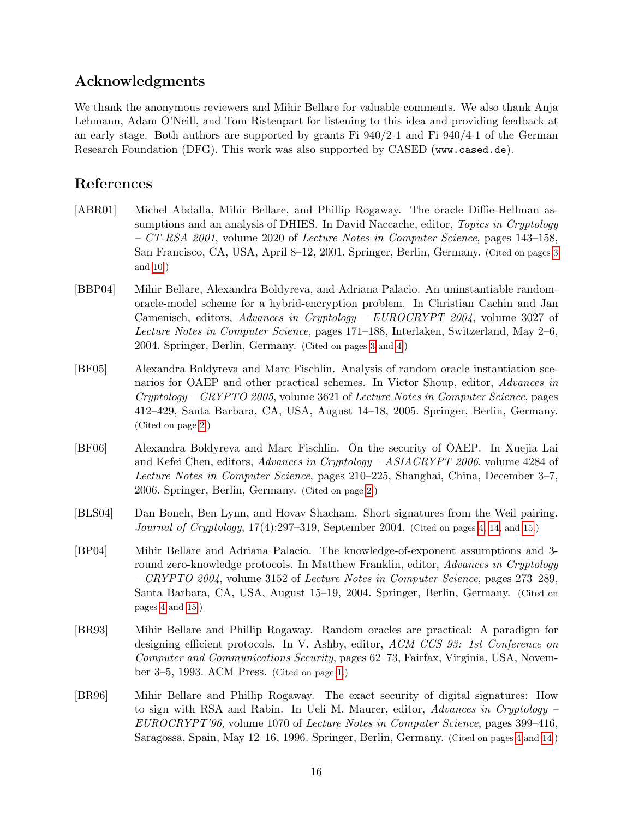## Acknowledgments

We thank the anonymous reviewers and Mihir Bellare for valuable comments. We also thank Anja Lehmann, Adam O'Neill, and Tom Ristenpart for listening to this idea and providing feedback at an early stage. Both authors are supported by grants Fi 940/2-1 and Fi 940/4-1 of the German Research Foundation (DFG). This work was also supported by CASED (www.cased.de).

# References

- <span id="page-15-3"></span>[ABR01] Michel Abdalla, Mihir Bellare, and Phillip Rogaway. The oracle Diffie-Hellman assumptions and an analysis of DHIES. In David Naccache, editor, *Topics in Cryptology*  $-CT-RSA$  2001, volume 2020 of Lecture Notes in Computer Science, pages 143–158, San Francisco, CA, USA, April 8–12, 2001. Springer, Berlin, Germany. (Cited on pages [3](#page-2-0) and [10.](#page-9-1))
- <span id="page-15-4"></span>[BBP04] Mihir Bellare, Alexandra Boldyreva, and Adriana Palacio. An uninstantiable randomoracle-model scheme for a hybrid-encryption problem. In Christian Cachin and Jan Camenisch, editors, Advances in Cryptology – EUROCRYPT 2004, volume 3027 of Lecture Notes in Computer Science, pages 171–188, Interlaken, Switzerland, May 2–6, 2004. Springer, Berlin, Germany. (Cited on pages [3](#page-2-0) and [4.](#page-3-2))
- <span id="page-15-1"></span>[BF05] Alexandra Boldyreva and Marc Fischlin. Analysis of random oracle instantiation scenarios for OAEP and other practical schemes. In Victor Shoup, editor, Advances in Cryptology – CRYPTO 2005, volume 3621 of Lecture Notes in Computer Science, pages 412–429, Santa Barbara, CA, USA, August 14–18, 2005. Springer, Berlin, Germany. (Cited on page [2.](#page-1-1))
- <span id="page-15-2"></span>[BF06] Alexandra Boldyreva and Marc Fischlin. On the security of OAEP. In Xuejia Lai and Kefei Chen, editors, Advances in Cryptology – ASIACRYPT 2006, volume 4284 of Lecture Notes in Computer Science, pages 210–225, Shanghai, China, December 3–7, 2006. Springer, Berlin, Germany. (Cited on page [2.](#page-1-1))
- <span id="page-15-6"></span>[BLS04] Dan Boneh, Ben Lynn, and Hovav Shacham. Short signatures from the Weil pairing. Journal of Cryptology, 17(4):297–319, September 2004. (Cited on pages [4,](#page-3-2) [14,](#page-13-0) and [15.](#page-14-0))
- <span id="page-15-7"></span>[BP04] Mihir Bellare and Adriana Palacio. The knowledge-of-exponent assumptions and 3 round zero-knowledge protocols. In Matthew Franklin, editor, Advances in Cryptology – CRYPTO 2004, volume 3152 of Lecture Notes in Computer Science, pages 273–289, Santa Barbara, CA, USA, August 15–19, 2004. Springer, Berlin, Germany. (Cited on pages [4](#page-3-2) and [15.](#page-14-0))
- <span id="page-15-0"></span>[BR93] Mihir Bellare and Phillip Rogaway. Random oracles are practical: A paradigm for designing efficient protocols. In V. Ashby, editor, ACM CCS 93: 1st Conference on Computer and Communications Security, pages 62–73, Fairfax, Virginia, USA, November 3–5, 1993. ACM Press. (Cited on page [1.](#page-0-0))
- <span id="page-15-5"></span>[BR96] Mihir Bellare and Phillip Rogaway. The exact security of digital signatures: How to sign with RSA and Rabin. In Ueli M. Maurer, editor, Advances in Cryptology – EUROCRYPT'96, volume 1070 of Lecture Notes in Computer Science, pages 399–416, Saragossa, Spain, May 12–16, 1996. Springer, Berlin, Germany. (Cited on pages [4](#page-3-2) and [14.](#page-13-0))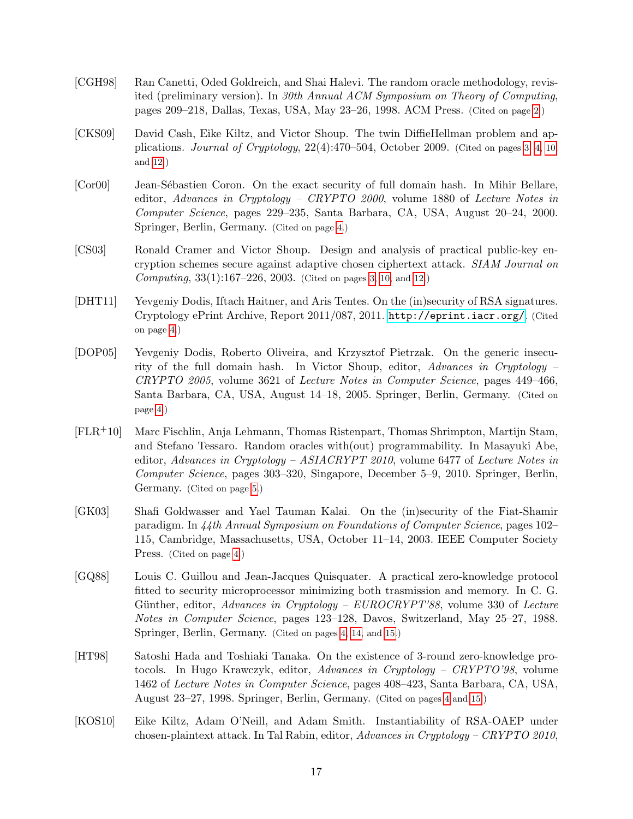- <span id="page-16-0"></span>[CGH98] Ran Canetti, Oded Goldreich, and Shai Halevi. The random oracle methodology, revisited (preliminary version). In 30th Annual ACM Symposium on Theory of Computing, pages 209–218, Dallas, Texas, USA, May 23–26, 1998. ACM Press. (Cited on page [2.](#page-1-1))
- <span id="page-16-3"></span>[CKS09] David Cash, Eike Kiltz, and Victor Shoup. The twin DiffieHellman problem and applications. Journal of Cryptology,  $22(4):470-504$ , October 2009. (Cited on pages [3,](#page-2-0) [4,](#page-3-2) [10,](#page-9-1) and [12.](#page-11-0))
- <span id="page-16-5"></span>[Cor00] Jean-S´ebastien Coron. On the exact security of full domain hash. In Mihir Bellare, editor, Advances in Cryptology – CRYPTO 2000, volume 1880 of Lecture Notes in Computer Science, pages 229–235, Santa Barbara, CA, USA, August 20–24, 2000. Springer, Berlin, Germany. (Cited on page [4.](#page-3-2))
- <span id="page-16-2"></span>[CS03] Ronald Cramer and Victor Shoup. Design and analysis of practical public-key encryption schemes secure against adaptive chosen ciphertext attack. SIAM Journal on Computing,  $33(1):167-226$ ,  $2003$ . (Cited on pages [3,](#page-2-0) [10,](#page-9-1) and [12.](#page-11-0))
- <span id="page-16-7"></span>[DHT11] Yevgeniy Dodis, Iftach Haitner, and Aris Tentes. On the (in)security of RSA signatures. Cryptology ePrint Archive, Report 2011/087, 2011. <http://eprint.iacr.org/>. (Cited on page [4.](#page-3-2))
- <span id="page-16-6"></span>[DOP05] Yevgeniy Dodis, Roberto Oliveira, and Krzysztof Pietrzak. On the generic insecurity of the full domain hash. In Victor Shoup, editor, Advances in Cryptology – CRYPTO 2005, volume 3621 of Lecture Notes in Computer Science, pages 449–466, Santa Barbara, CA, USA, August 14–18, 2005. Springer, Berlin, Germany. (Cited on page [4.](#page-3-2))
- <span id="page-16-10"></span>[FLR+10] Marc Fischlin, Anja Lehmann, Thomas Ristenpart, Thomas Shrimpton, Martijn Stam, and Stefano Tessaro. Random oracles with(out) programmability. In Masayuki Abe, editor, Advances in Cryptology –  $ASIACRYPT$  2010, volume 6477 of Lecture Notes in Computer Science, pages 303–320, Singapore, December 5–9, 2010. Springer, Berlin, Germany. (Cited on page [5.](#page-4-0))
- <span id="page-16-8"></span>[GK03] Shafi Goldwasser and Yael Tauman Kalai. On the (in)security of the Fiat-Shamir paradigm. In 44th Annual Symposium on Foundations of Computer Science, pages 102– 115, Cambridge, Massachusetts, USA, October 11–14, 2003. IEEE Computer Society Press. (Cited on page [4.](#page-3-2))
- <span id="page-16-4"></span>[GQ88] Louis C. Guillou and Jean-Jacques Quisquater. A practical zero-knowledge protocol fitted to security microprocessor minimizing both trasmission and memory. In C. G. Günther, editor, Advances in Cryptology –  $EUROCRYPT'88$ , volume 330 of Lecture Notes in Computer Science, pages 123–128, Davos, Switzerland, May 25–27, 1988. Springer, Berlin, Germany. (Cited on pages [4,](#page-3-2) [14,](#page-13-0) and [15.](#page-14-0))
- <span id="page-16-9"></span>[HT98] Satoshi Hada and Toshiaki Tanaka. On the existence of 3-round zero-knowledge protocols. In Hugo Krawczyk, editor, Advances in Cryptology – CRYPTO'98, volume 1462 of Lecture Notes in Computer Science, pages 408–423, Santa Barbara, CA, USA, August 23–27, 1998. Springer, Berlin, Germany. (Cited on pages [4](#page-3-2) and [15.](#page-14-0))
- <span id="page-16-1"></span>[KOS10] Eike Kiltz, Adam O'Neill, and Adam Smith. Instantiability of RSA-OAEP under chosen-plaintext attack. In Tal Rabin, editor, Advances in Cryptology – CRYPTO 2010,